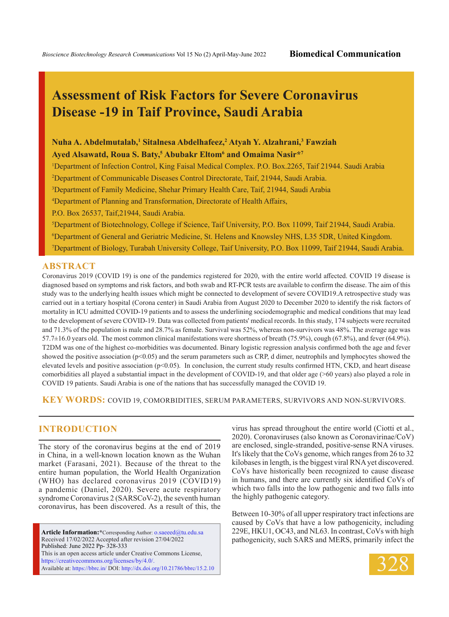# **Assessment of Risk Factors for Severe Coronavirus Disease -19 in Taif Province, Saudi Arabia**

# **Nuha A. Abdelmutalab,1 Sitalnesa Abdelhafeez,2 Atyah Y. Alzahrani,3 Fawziah Ayed Alsawatd, Roua S. Baty,5 Abubakr Eltom6 and Omaima Nasir\*7**

1 Department of Infection Control, King Faisal Medical Complex. P.O. Box.2265, Taif 21944. Saudi Arabia

2 Department of Communicable Diseases Control Directorate, Taif, 21944, Saudi Arabia.

3 Department of Family Medicine, Shehar Primary Health Care, Taif, 21944, Saudi Arabia

4 Department of Planning and Transformation, Directorate of Health Affairs,

P.O. Box 26537, Taif,21944, Saudi Arabia.

5 Department of Biotechnology, College if Science, Taif University, P.O. Box 11099, Taif 21944, Saudi Arabia. 6 Department of General and Geriatric Medicine, St. Helens and Knowsley NHS, L35 5DR, United Kingdom. 7 Department of Biology, Turabah University College, Taif University, P.O. Box 11099, Taif 21944, Saudi Arabia.

#### **ABSTRACT**

Coronavirus 2019 (COVID 19) is one of the pandemics registered for 2020, with the entire world affected. COVID 19 disease is diagnosed based on symptoms and risk factors, and both swab and RT-PCR tests are available to confirm the disease. The aim of this study was to the underlying health issues which might be connected to development of severe COVID19.A retrospective study was carried out in a tertiary hospital (Corona center) in Saudi Arabia from August 2020 to December 2020 to identify the risk factors of mortality in ICU admitted COVID-19 patients and to assess the underlining sociodemographic and medical conditions that may lead to the development of severe COVID-19. Data was collected from patients' medical records. In this study, 174 subjects were recruited and 71.3% of the population is male and 28.7% as female. Survival was 52%, whereas non-survivors was 48%. The average age was 57.7±16.0 years old. The most common clinical manifestations were shortness of breath (75.9%), cough (67.8%), and fever (64.9%). T2DM was one of the highest co-morbidities was documented. Binary logistic regression analysis confirmed both the age and fever showed the positive association (p<0.05) and the serum parameters such as CRP, d dimer, neutrophils and lymphocytes showed the elevated levels and positive association ( $p<0.05$ ). In conclusion, the current study results confirmed HTN, CKD, and heart disease comorbidities all played a substantial impact in the development of COVID-19, and that older age (>60 years) also played a role in COVID 19 patients. Saudi Arabia is one of the nations that has successfully managed the COVID 19.

**KEY WORDS:** COVID 19, comorbidities, serum parameters, survivors and non-survivors.

## **INTRODUCTION**

The story of the coronavirus begins at the end of 2019 in China, in a well-known location known as the Wuhan market (Farasani, 2021). Because of the threat to the entire human population, the World Health Organization (WHO) has declared coronavirus 2019 (COVID19) a pandemic (Daniel, 2020). Severe acute respiratory syndrome Coronavirus 2 (SARSCoV-2), the seventh human coronavirus, has been discovered. As a result of this, the

Article Information:\*Corresponding Author: o.saeeed@tu.edu.sa Received 17/02/2022 Accepted after revision 27/04/2022 Published: June 2022 Pp- 328-333 This is an open access article under Creative Commons License, https://creativecommons.org/licenses/by/4.0/. Available at: https://bbrc.in/ DOI: http://dx.doi.org/10.21786/bbrc/15.2.10 virus has spread throughout the entire world (Ciotti et al., 2020). Coronaviruses (also known as Coronavirinae/CoV) are enclosed, single-stranded, positive-sense RNA viruses. It's likely that the CoVs genome, which ranges from 26 to 32 kilobases in length, is the biggest viral RNA yet discovered. CoVs have historically been recognized to cause disease in humans, and there are currently six identified CoVs of which two falls into the low pathogenic and two falls into the highly pathogenic category.

Between 10-30% of all upper respiratory tract infections are caused by CoVs that have a low pathogenicity, including 229E, HKU1, OC43, and NL63. In contrast, CoVs with high pathogenicity, such SARS and MERS, primarily infect the

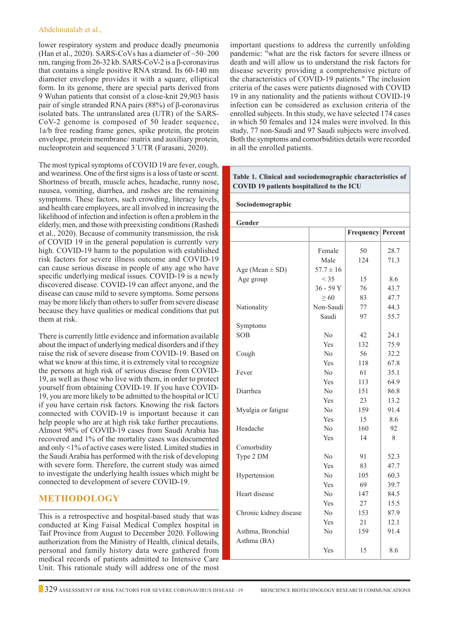#### Abdelmutalab et al.,

lower respiratory system and produce deadly pneumonia (Han et al., 2020). SARS-CoVs has a diameter of  $\sim 50-200$ nm, ranging from 26-32 kb. SARS-CoV-2 is a β-coronavirus that contains a single positive RNA strand. Its 60-140 nm diameter envelope provides it with a square, elliptical form. In its genome, there are special parts derived from 9 Wuhan patients that consist of a close-knit 29,903 basis pair of single stranded RNA pairs (88%) of β-coronavirus isolated bats. The untranslated area (UTR) of the SARS-CoV-2 genome is composed of 50 leader sequence, 1a/b free reading frame genes, spike protein, the protein envelope, protein membrane/ matrix and auxiliary protein, nucleoprotein and sequenced 3´UTR (Farasani, 2020).

The most typical symptoms of COVID 19 are fever, cough, and weariness. One of the first signs is a loss of taste or scent. Shortness of breath, muscle aches, headache, runny nose, nausea, vomiting, diarrhea, and rashes are the remaining symptoms. These factors, such crowding, literacy levels, and health care employees, are all involved in increasing the likelihood of infection and infection is often a problem in the elderly, men, and those with preexisting conditions (Rashedi et al., 2020). Because of community transmission, the risk of COVID 19 in the general population is currently very high. COVID-19 harm to the population with established risk factors for severe illness outcome and COVID-19 can cause serious disease in people of any age who have specific underlying medical issues. COVID-19 is a newly discovered disease. COVID-19 can affect anyone, and the disease can cause mild to severe symptoms. Some persons may be more likely than others to suffer from severe disease because they have qualities or medical conditions that put them at risk.

There is currently little evidence and information available about the impact of underlying medical disorders and if they raise the risk of severe disease from COVID-19. Based on what we know at this time, it is extremely vital to recognize the persons at high risk of serious disease from COVID-19, as well as those who live with them, in order to protect yourself from obtaining COVID-19. If you have COVID-19, you are more likely to be admitted to the hospital or ICU if you have certain risk factors. Knowing the risk factors connected with COVID-19 is important because it can help people who are at high risk take further precautions. Almost 98% of COVID-19 cases from Saudi Arabia has recovered and 1% of the mortality cases was documented and only <1% of active cases were listed. Limited studies in the Saudi Arabia has performed with the risk of developing with severe form. Therefore, the current study was aimed to investigate the underlying health issues which might be connected to development of severe COVID-19.

## **Methodology**

This is a retrospective and hospital-based study that was conducted at King Faisal Medical Complex hospital in Taif Province from August to December 2020. Following authorization from the Ministry of Health, clinical details, personal and family history data were gathered from medical records of patients admitted to Intensive Care Unit. This rationale study will address one of the most

important questions to address the currently unfolding pandemic: "what are the risk factors for severe illness or death and will allow us to understand the risk factors for disease severity providing a comprehensive picture of the characteristics of COVID-19 patients." The inclusion criteria of the cases were patients diagnosed with COVID 19 in any nationality and the patients without COVID-19 infection can be considered as exclusion criteria of the enrolled subjects. In this study, we have selected 174 cases in which 50 females and 124 males were involved. In this study, 77 non-Saudi and 97 Saudi subjects were involved. Both the symptoms and comorbidities details were recorded in all the enrolled patients.

#### **Sociodemographic Gender Frequency Percent** Female | 50 | 28.7 Male | 124 | 71.3 Age (Mean  $\pm$  SD) 57.7  $\pm$  16 Age group  $|$  < 35 | 15 | 8.6  $36 - 59$  Y | 76 | 43.7  $\geq 60$  | 83 | 47.7 Nationality Non-Saudi 77 44.3 Saudi 97 55.7 Symptoms SOB  $\vert$  No  $\vert$  42  $\vert$  24.1 Yes 132 75.9 Cough No 56 32.2 Yes 118 67.8 Fever  $\vert$  No  $\vert$  61  $\vert$  35.1 Yes | 113 | 64.9 Diarrhea No 151 86.8 Yes | 23 | 13.2 Myalgia or fatigue  $\vert$  No  $\vert$  159  $\vert$  91.4 Yes | 15 | 8.6 Headache  $N_0$  160 92 Yes | 14 | 8 Comorbidity Type 2 DM  $\vert$  No  $\vert$  91  $\vert$  52.3 Yes | 83 | 47.7 Hypertension  $\vert$  No  $\vert$  105  $\vert$  60.3 Yes 69 39.7 Heart disease  $\vert$  No  $\vert$  147  $\vert$  84.5 Yes | 27 | 15.5 Chronic kidney disease No 153 87.9 Yes 21 12.1 Asthma, Bronchial | No | 159 | 91.4 Asthma (BA) **Table 1. Clinical and sociodemographic characteristics of COVID 19 patients hospitalized to the ICU**

Yes | 15 | 8.6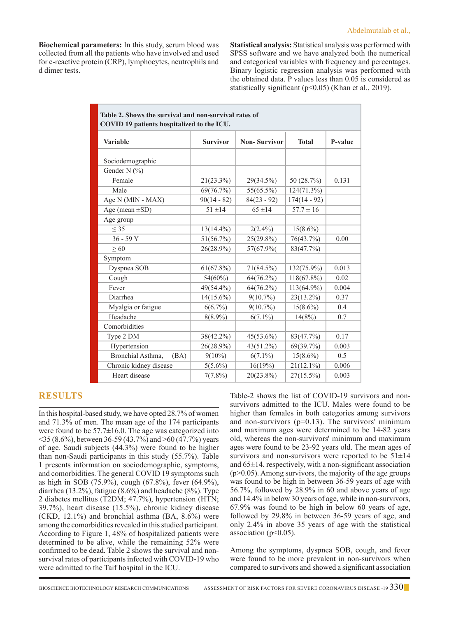**Biochemical parameters:** In this study, serum blood was collected from all the patients who have involved and used for c-reactive protein (CRP), lymphocytes, neutrophils and d dimer tests.

**Statistical analysis:** Statistical analysis was performed with SPSS software and we have analyzed both the numerical and categorical variables with frequency and percentages. Binary logistic regression analysis was performed with the obtained data. P values less than 0.05 is considered as statistically significant (p<0.05) (Khan et al., 2019).

| Table 2. Shows the survival and non-survival rates of<br>COVID 19 patients hospitalized to the ICU. |                 |                     |                |         |  |  |  |  |
|-----------------------------------------------------------------------------------------------------|-----------------|---------------------|----------------|---------|--|--|--|--|
| <b>Variable</b>                                                                                     | <b>Survivor</b> | <b>Non-Survivor</b> | <b>Total</b>   | P-value |  |  |  |  |
| Sociodemographic                                                                                    |                 |                     |                |         |  |  |  |  |
| Gender N (%)                                                                                        |                 |                     |                |         |  |  |  |  |
| Female                                                                                              | $21(23.3\%)$    | 29(34.5%)           | 50 (28.7%)     | 0.131   |  |  |  |  |
| Male                                                                                                | 69(76.7%)       | $55(65.5\%)$        | 124(71.3%)     |         |  |  |  |  |
| Age N (MIN - MAX)                                                                                   | $90(14 - 82)$   | $84(23 - 92)$       | $174(14 - 92)$ |         |  |  |  |  |
| Age (mean $\pm SD$ )                                                                                | $51 \pm 14$     | $65 \pm 14$         | $57.7 \pm 16$  |         |  |  |  |  |
| Age group                                                                                           |                 |                     |                |         |  |  |  |  |
| < 35                                                                                                | $13(14.4\%)$    | $2(2.4\%)$          | $15(8.6\%)$    |         |  |  |  |  |
| $36 - 59Y$                                                                                          | 51(56.7%)       | 25(29.8%)           | 76(43.7%)      | 0.00    |  |  |  |  |
| > 60                                                                                                | 26(28.9%)       | 57(67.9%)           | 83(47.7%)      |         |  |  |  |  |
| Symptom                                                                                             |                 |                     |                |         |  |  |  |  |
| Dyspnea SOB                                                                                         | $61(67.8\%)$    | 71(84.5%)           | 132(75.9%)     | 0.013   |  |  |  |  |
| Cough                                                                                               | 54(60%)         | 64(76.2%)           | $118(67.8\%)$  | 0.02    |  |  |  |  |
| Fever                                                                                               | 49(54.4%)       | 64(76.2%)           | 113(64.9%)     | 0.004   |  |  |  |  |
| Diarrhea                                                                                            | $14(15.6\%)$    | $9(10.7\%)$         | 23(13.2%)      | 0.37    |  |  |  |  |
| Myalgia or fatigue                                                                                  | $6(6.7\%)$      | $9(10.7\%)$         | $15(8.6\%)$    | 0.4     |  |  |  |  |
| Headache                                                                                            | $8(8.9\%)$      | $6(7.1\%)$          | 14(8%)         | 0.7     |  |  |  |  |
| Comorbidities                                                                                       |                 |                     |                |         |  |  |  |  |
| Type 2 DM                                                                                           | 38(42.2%)       | $45(53.6\%)$        | 83(47.7%)      | 0.17    |  |  |  |  |
| Hypertension                                                                                        | 26(28.9%)       | 43(51.2%)           | 69(39.7%)      | 0.003   |  |  |  |  |
| Bronchial Asthma,<br>(BA)                                                                           | $9(10\%)$       | $6(7.1\%)$          | $15(8.6\%)$    | 0.5     |  |  |  |  |
| Chronic kidney disease                                                                              | $5(5.6\%)$      | 16(19%)             | $21(12.1\%)$   | 0.006   |  |  |  |  |
| Heart disease                                                                                       | $7(7.8\%)$      | 20(23.8%)           | $27(15.5\%)$   | 0.003   |  |  |  |  |

## **Results**

In this hospital-based study, we have opted 28.7% of women and 71.3% of men. The mean age of the 174 participants were found to be  $57.7\pm16.0$ . The age was categorized into <35 (8.6%), between 36-59 (43.7%) and >60 (47.7%) years of age. Saudi subjects (44.3%) were found to be higher than non-Saudi participants in this study (55.7%). Table 1 presents information on sociodemographic, symptoms, and comorbidities. The general COVID 19 symptoms such as high in SOB (75.9%), cough (67.8%), fever (64.9%), diarrhea (13.2%), fatigue (8.6%) and headache (8%). Type 2 diabetes mellitus (T2DM; 47.7%), hypertension (HTN; 39.7%), heart disease (15.5%), chronic kidney disease (CKD, 12.1%) and bronchial asthma (BA, 8.6%) were among the comorbidities revealed in this studied participant. According to Figure 1, 48% of hospitalized patients were determined to be alive, while the remaining 52% were confirmed to be dead. Table 2 shows the survival and nonsurvival rates of participants infected with COVID-19 who were admitted to the Taif hospital in the ICU.

Table-2 shows the list of COVID-19 survivors and nonsurvivors admitted to the ICU. Males were found to be higher than females in both categories among survivors and non-survivors  $(p=0.13)$ . The survivors' minimum and maximum ages were determined to be 14-82 years old, whereas the non-survivors' minimum and maximum ages were found to be 23-92 years old. The mean ages of survivors and non-survivors were reported to be  $51\pm14$ and  $65\pm14$ , respectively, with a non-significant association  $(p>0.05)$ . Among survivors, the majority of the age groups was found to be high in between 36-59 years of age with 56.7%, followed by 28.9% in 60 and above years of age and 14.4% in below 30 years of age, while in non-survivors, 67.9% was found to be high in below 60 years of age, followed by 29.8% in between 36-59 years of age, and only 2.4% in above 35 years of age with the statistical association ( $p<0.05$ ).

Among the symptoms, dyspnea SOB, cough, and fever were found to be more prevalent in non-survivors when compared to survivors and showed a significant association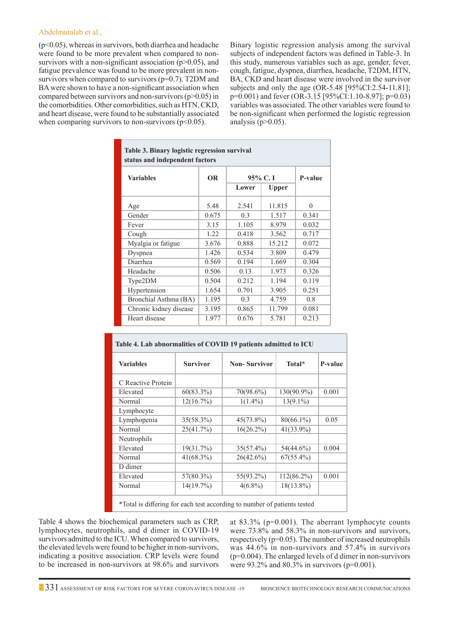#### Abdelmutalab et al.,

 $(p<0.05)$ , whereas in survivors, both diarrhea and headache were found to be more prevalent when compared to nonsurvivors with a non-significant association  $(p>0.05)$ , and fatigue prevalence was found to be more prevalent in nonsurvivors when compared to survivors  $(p=0.7)$ . T2DM and BA were shown to have a non-significant association when compared between survivors and non-survivors  $(p>0.05)$  in the comorbidities. Other comorbidities, such as HTN, CKD, and heart disease, were found to be substantially associated when comparing survivors to non-survivors  $(p<0.05)$ .

Binary logistic regression analysis among the survival subjects of independent factors was defined in Table-3. In this study, numerous variables such as age, gender, fever, cough, fatigue, dyspnea, diarrhea, headache, T2DM, HTN, BA, CKD and heart disease were involved in the survivor subjects and only the age (OR-5.48 [95%CI:2.54-11.81]; p=0.001) and fever (OR-3.15 [95%CI:1.10-8.97]; p=0.03) variables was associated. The other variables were found to be non-significant when performed the logistic regression analysis ( $p > 0.05$ ).

| Table 3. Binary logistic regression survival<br>status and independent factors |           |         |        |          |  |  |  |
|--------------------------------------------------------------------------------|-----------|---------|--------|----------|--|--|--|
| <b>Variables</b>                                                               | <b>OR</b> | 95% C.I |        | P-value  |  |  |  |
|                                                                                |           | Lower   | Upper  |          |  |  |  |
| Age                                                                            | 5.48      | 2.541   | 11.815 | $\Omega$ |  |  |  |
| Gender                                                                         | 0.675     | 0.3     | 1.517  | 0.341    |  |  |  |
| Fever                                                                          | 3.15      | 1.105   | 8.979  | 0.032    |  |  |  |
| Cough                                                                          | 1.22      | 0.418   | 3.562  | 0.717    |  |  |  |
| Myalgia or fatigue                                                             | 3.676     | 0.888   | 15.212 | 0.072    |  |  |  |
| Dyspnea                                                                        | 1.426     | 0.534   | 3.809  | 0.479    |  |  |  |
| Diarrhea                                                                       | 0.569     | 0.194   | 1.669  | 0.304    |  |  |  |
| Headache                                                                       | 0.506     | 0.13    | 1.973  | 0.326    |  |  |  |
| Type2DM                                                                        | 0.504     | 0.212   | 1.194  | 0.119    |  |  |  |
| Hypertension                                                                   | 1.654     | 0.701   | 3.905  | 0.251    |  |  |  |
| Bronchial Asthma (BA)                                                          | 1.195     | 0.3     | 4.759  | 0.8      |  |  |  |
| Chronic kidney disease                                                         | 3.195     | 0.865   | 11.799 | 0.081    |  |  |  |
| Heart disease                                                                  | 1.977     | 0.676   | 5.781  | 0.213    |  |  |  |

| <b>Variables</b>   | <b>Survivor</b> | <b>Non-Survivor</b> | Total*        | P-value |
|--------------------|-----------------|---------------------|---------------|---------|
| C Reactive Protein |                 |                     |               |         |
| Elevated           | 60(83.3%)       | 70(98.6%)           | 130(90.9%)    | 0.001   |
| Normal             | 12(16.7%)       | $1(1.4\%)$          | $13(9.1\%)$   |         |
| Lymphocyte         |                 |                     |               |         |
| Lymphopenia        | $35(58.3\%)$    | $45(73.8\%)$        | $80(66.1\%)$  | 0.05    |
| Normal             | 25(41.7%)       | $16(26.2\%)$        | 41(33.9%)     |         |
| Neutrophils        |                 |                     |               |         |
| Elevated           | 19(31.7%)       | $35(57.4\%)$        | 54(44.6%)     | 0.004   |
| Normal             | $41(68.3\%)$    | $26(42.6\%)$        | $67(55.4\%)$  |         |
| D dimer            |                 |                     |               |         |
| Elevated           | 57(80.3%)       | 55(93.2%)           | $112(86.2\%)$ | 0.001   |
| Normal             | 14(19.7%)       | $4(6.8\%)$          | $18(13.8\%)$  |         |

\*Total is differing for each test according to number of patients tested

Table 4 shows the biochemical parameters such as CRP, lymphocytes, neutrophils, and d dimer in COVID-19 survivors admitted to the ICU. When compared to survivors, the elevated levels were found to be higher in non-survivors, indicating a positive association. CRP levels were found to be increased in non-survivors at 98.6% and survivors

at 83.3% (p=0.001). The aberrant lymphocyte counts were 73.8% and 58.3% in non-survivors and survivors, respectively (p=0.05). The number of increased neutrophils was 44.6% in non-survivors and 57.4% in survivors (p=0.004). The enlarged levels of d dimer in non-survivors were 93.2% and 80.3% in survivors (p=0.001).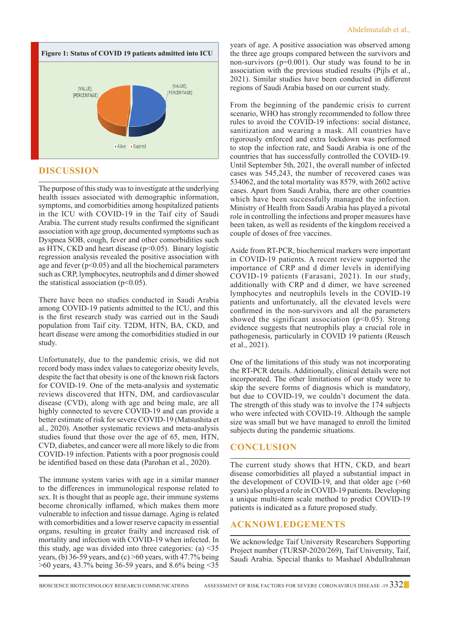

# **Discussion**

The purpose of this study was to investigate at the underlying health issues associated with demographic information, symptoms, and comorbidities among hospitalized patients in the ICU with COVID-19 in the Taif city of Saudi Arabia. The current study results confirmed the significant association with age group, documented symptoms such as Dyspnea SOB, cough, fever and other comorbidities such as HTN, CKD and heart disease  $(p<0.05)$ . Binary logistic regression analysis revealed the positive association with age and fever  $(p<0.05)$  and all the biochemical parameters such as CRP, lymphocytes, neutrophils and d dimer showed the statistical association ( $p<0.05$ ).

There have been no studies conducted in Saudi Arabia among COVID-19 patients admitted to the ICU, and this is the first research study was carried out in the Saudi population from Taif city. T2DM, HTN, BA, CKD, and heart disease were among the comorbidities studied in our study.

Unfortunately, due to the pandemic crisis, we did not record body mass index values to categorize obesity levels, despite the fact that obesity is one of the known risk factors for COVID-19. One of the meta-analysis and systematic reviews discovered that HTN, DM, and cardiovascular disease (CVD), along with age and being male, are all highly connected to severe COVID-19 and can provide a better estimate of risk for severe COVID-19 (Matsushita et al., 2020). Another systematic reviews and meta-analysis studies found that those over the age of 65, men, HTN, CVD, diabetes, and cancer were all more likely to die from COVID-19 infection. Patients with a poor prognosis could be identified based on these data (Parohan et al., 2020).

The immune system varies with age in a similar manner to the differences in immunological response related to sex. It is thought that as people age, their immune systems become chronically inflamed, which makes them more vulnerable to infection and tissue damage. Aging is related with comorbidities and a lower reserve capacity in essential organs, resulting in greater frailty and increased risk of mortality and infection with COVID-19 when infected. In this study, age was divided into three categories:  $(a)$  <35 years, (b) 36-59 years, and (c)  $>60$  years, with 47.7% being >60 years, 43.7% being 36-59 years, and 8.6% being <35 years of age. A positive association was observed among the three age groups compared between the survivors and non-survivors (p=0.001). Our study was found to be in association with the previous studied results (Pijls et al., 2021). Similar studies have been conducted in different regions of Saudi Arabia based on our current study.

From the beginning of the pandemic crisis to current scenario, WHO has strongly recommended to follow three rules to avoid the COVID-19 infections: social distance, sanitization and wearing a mask. All countries have rigorously enforced and extra lockdown was performed to stop the infection rate, and Saudi Arabia is one of the countries that has successfully controlled the COVID-19. Until September 5th, 2021, the overall number of infected cases was 545,243, the number of recovered cases was 534062, and the total mortality was 8579, with 2602 active cases. Apart from Saudi Arabia, there are other countries which have been successfully managed the infection. Ministry of Health from Saudi Arabia has played a pivotal role in controlling the infections and proper measures have been taken, as well as residents of the kingdom received a couple of doses of free vaccines.

Aside from RT-PCR, biochemical markers were important in COVID-19 patients. A recent review supported the importance of CRP and d dimer levels in identifying COVID-19 patients (Farasani, 2021). In our study, additionally with CRP and d dimer, we have screened lymphocytes and neutrophils levels in the COVID-19 patients and unfortunately, all the elevated levels were confirmed in the non-survivors and all the parameters showed the significant association ( $p<0.05$ ). Strong evidence suggests that neutrophils play a crucial role in pathogenesis, particularly in COVID 19 patients (Reusch et al., 2021).

One of the limitations of this study was not incorporating the RT-PCR details. Additionally, clinical details were not incorporated. The other limitations of our study were to skip the severe forms of diagnosis which is mandatory, but due to COVID-19, we couldn't document the data. The strength of this study was to involve the 174 subjects who were infected with COVID-19. Although the sample size was small but we have managed to enroll the limited subjects during the pandemic situations.

## **Conclusion**

The current study shows that HTN, CKD, and heart disease comorbidities all played a substantial impact in the development of COVID-19, and that older age (>60 years) also played a role in COVID-19 patients. Developing a unique multi-item scale method to predict COVID-19 patients is indicated as a future proposed study.

## **AcknowledgEments**

We acknowledge Taif University Researchers Supporting Project number (TURSP-2020/269), Taif University, Taif, Saudi Arabia. Special thanks to Mashael Abdullrahman